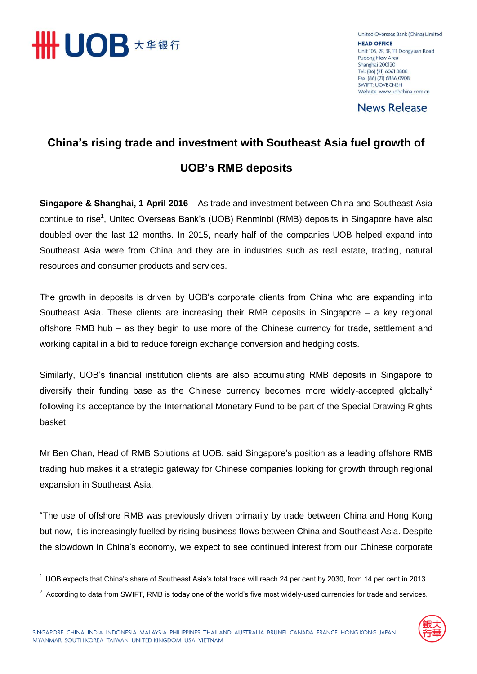

 $\overline{\phantom{a}}$ 

United Overseas Bank (China) Limited **HEAD OFFICE** Unit 105, 2F, 3F, 111 Dongyuan Road Pudong New Area Shanghai 200120 Tel: (86) (21) 6061 8888 Fax: (86) (21) 6886 0908 **SWIFT: UOVBCNSH** Website: www.uobchina.com.cn

**News Release** 

## **China's rising trade and investment with Southeast Asia fuel growth of UOB's RMB deposits**

**Singapore & Shanghai, 1 April 2016** – As trade and investment between China and Southeast Asia continue to rise<sup>1</sup>, United Overseas Bank's (UOB) Renminbi (RMB) deposits in Singapore have also doubled over the last 12 months. In 2015, nearly half of the companies UOB helped expand into Southeast Asia were from China and they are in industries such as real estate, trading, natural resources and consumer products and services.

The growth in deposits is driven by UOB's corporate clients from China who are expanding into Southeast Asia. These clients are increasing their RMB deposits in Singapore – a key regional offshore RMB hub – as they begin to use more of the Chinese currency for trade, settlement and working capital in a bid to reduce foreign exchange conversion and hedging costs.

Similarly, UOB's financial institution clients are also accumulating RMB deposits in Singapore to diversify their funding base as the Chinese currency becomes more widely-accepted globally<sup>2</sup> following its acceptance by the International Monetary Fund to be part of the Special Drawing Rights basket.

Mr Ben Chan, Head of RMB Solutions at UOB, said Singapore's position as a leading offshore RMB trading hub makes it a strategic gateway for Chinese companies looking for growth through regional expansion in Southeast Asia.

"The use of offshore RMB was previously driven primarily by trade between China and Hong Kong but now, it is increasingly fuelled by rising business flows between China and Southeast Asia. Despite the slowdown in China's economy, we expect to see continued interest from our Chinese corporate

 $2$  According to data from SWIFT, RMB is today one of the world's five most widely-used currencies for trade and services.



<sup>&</sup>lt;sup>1</sup> UOB expects that China's share of Southeast Asia's total trade will reach 24 per cent by 2030, from 14 per cent in 2013.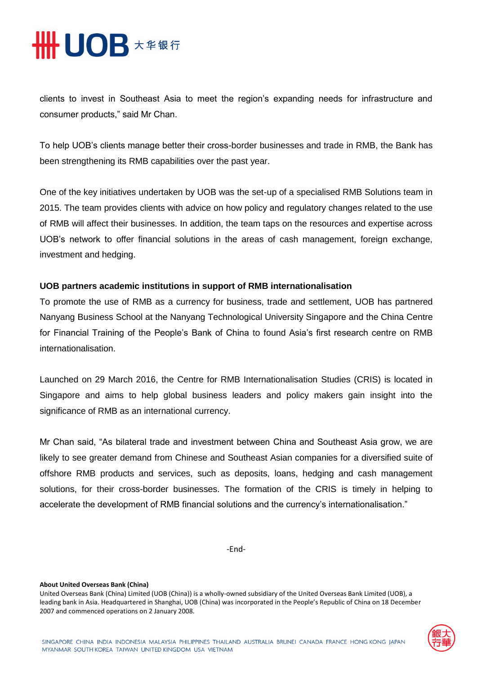

clients to invest in Southeast Asia to meet the region's expanding needs for infrastructure and consumer products," said Mr Chan.

To help UOB's clients manage better their cross-border businesses and trade in RMB, the Bank has been strengthening its RMB capabilities over the past year.

One of the key initiatives undertaken by UOB was the set-up of a specialised RMB Solutions team in 2015. The team provides clients with advice on how policy and regulatory changes related to the use of RMB will affect their businesses. In addition, the team taps on the resources and expertise across UOB's network to offer financial solutions in the areas of cash management, foreign exchange, investment and hedging.

## **UOB partners academic institutions in support of RMB internationalisation**

To promote the use of RMB as a currency for business, trade and settlement, UOB has partnered Nanyang Business School at the Nanyang Technological University Singapore and the China Centre for Financial Training of the People's Bank of China to found Asia's first research centre on RMB internationalisation.

Launched on 29 March 2016, the Centre for RMB Internationalisation Studies (CRIS) is located in Singapore and aims to help global business leaders and policy makers gain insight into the significance of RMB as an international currency.

Mr Chan said, "As bilateral trade and investment between China and Southeast Asia grow, we are likely to see greater demand from Chinese and Southeast Asian companies for a diversified suite of offshore RMB products and services, such as deposits, loans, hedging and cash management solutions, for their cross-border businesses. The formation of the CRIS is timely in helping to accelerate the development of RMB financial solutions and the currency's internationalisation."

-End-

## **About United Overseas Bank (China)**

United Overseas Bank (China) Limited (UOB (China)) is a wholly-owned subsidiary of the United Overseas Bank Limited (UOB), a leading bank in Asia. Headquartered in Shanghai, UOB (China) was incorporated in the People's Republic of China on 18 December 2007 and commenced operations on 2 January 2008.